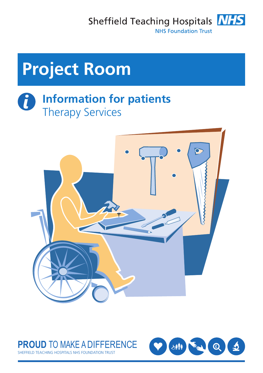Sheffield Teaching Hospitals **NHS** 



**NHS Foundation Trust** 

# **Project Room**

#### t **Information for patients** Therapy Services



#### **PROUD** TO MAKE A DIFFERENCE FIELD TEACHING HOSPITALS NHS FOUNDATION TRUST

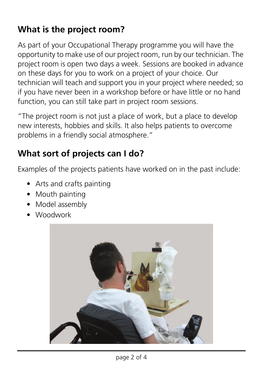## **What is the project room?**

As part of your Occupational Therapy programme you will have the opportunity to make use of our project room, run by our technician. The project room is open two days a week. Sessions are booked in advance on these days for you to work on a project of your choice. Our technician will teach and support you in your project where needed; so if you have never been in a workshop before or have little or no hand function, you can still take part in project room sessions.

"The project room is not just a place of work, but a place to develop new interests, hobbies and skills. It also helps patients to overcome problems in a friendly social atmosphere."

# **What sort of projects can I do?**

Examples of the projects patients have worked on in the past include:

- Arts and crafts painting
- Mouth painting
- Model assembly
- Woodwork

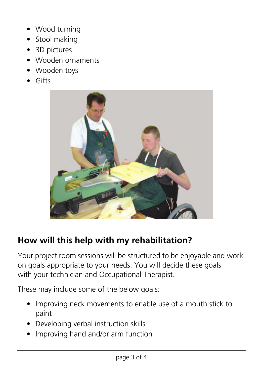- Wood turning
- Stool making
- 3D pictures
- Wooden ornaments
- Wooden toys
- Gifts



### **How will this help with my rehabilitation?**

Your project room sessions will be structured to be enjoyable and work on goals appropriate to your needs. You will decide these goals with your technician and Occupational Therapist.

These may include some of the below goals:

- Improving neck movements to enable use of a mouth stick to paint
- Developing verbal instruction skills
- Improving hand and/or arm function